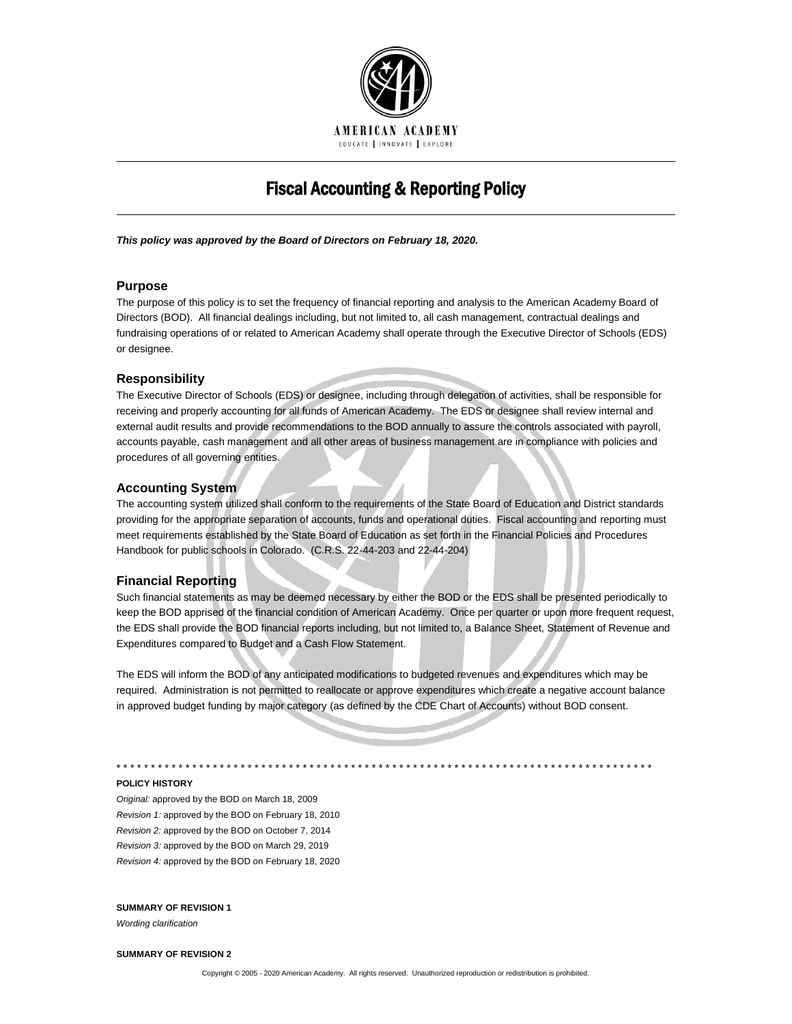

# Fiscal Accounting & Reporting Policy

*This policy was approved by the Board of Directors on February 18, 2020.*

## **Purpose**

The purpose of this policy is to set the frequency of financial reporting and analysis to the American Academy Board of Directors (BOD). All financial dealings including, but not limited to, all cash management, contractual dealings and fundraising operations of or related to American Academy shall operate through the Executive Director of Schools (EDS) or designee.

## **Responsibility**

The Executive Director of Schools (EDS) or designee, including through delegation of activities, shall be responsible for receiving and properly accounting for all funds of American Academy. The EDS or designee shall review internal and external audit results and provide recommendations to the BOD annually to assure the controls associated with payroll, accounts payable, cash management and all other areas of business management are in compliance with policies and procedures of all governing entities.

## **Accounting System**

The accounting system utilized shall conform to the requirements of the State Board of Education and District standards providing for the appropriate separation of accounts, funds and operational duties. Fiscal accounting and reporting must meet requirements established by the State Board of Education as set forth in the Financial Policies and Procedures Handbook for public schools in Colorado. (C.R.S. 22-44-203 and 22-44-204)

#### **Financial Reporting**

Such financial statements as may be deemed necessary by either the BOD or the EDS shall be presented periodically to keep the BOD apprised of the financial condition of American Academy. Once per quarter or upon more frequent request, the EDS shall provide the BOD financial reports including, but not limited to, a Balance Sheet, Statement of Revenue and Expenditures compared to Budget and a Cash Flow Statement.

The EDS will inform the BOD of any anticipated modifications to budgeted revenues and expenditures which may be required. Administration is not permitted to reallocate or approve expenditures which create a negative account balance in approved budget funding by major category (as defined by the CDE Chart of Accounts) without BOD consent.

\* \* \* \* \* \* \* \* \* \* \* \* \* \* \* \* \* \* \* \* \* \* \* \* \* \* \* \* \* \* \* \* \* \* \* \* \* \* \* \* \* \* \* \* \* \* \* \* \* \* \* \* \* \* \* \* \* \* \* \* \* \* \* \* \* \* \* \* \* \* \* \* \* \* \* \* \* \*

**POLICY HISTORY**

*Original:* approved by the BOD on March 18, 2009 *Revision 1:* approved by the BOD on February 18, 2010 *Revision 2:* approved by the BOD on October 7, 2014 *Revision 3:* approved by the BOD on March 29, 2019 *Revision 4:* approved by the BOD on February 18, 2020

#### **SUMMARY OF REVISION 1**

*Wording clarification*

#### **SUMMARY OF REVISION 2**